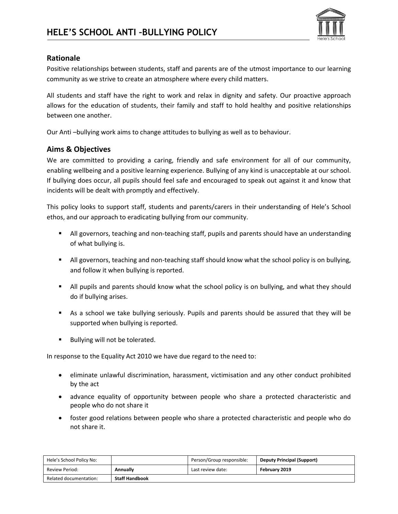

## **Rationale**

Positive relationships between students, staff and parents are of the utmost importance to our learning community as we strive to create an atmosphere where every child matters.

All students and staff have the right to work and relax in dignity and safety. Our proactive approach allows for the education of students, their family and staff to hold healthy and positive relationships between one another.

Our Anti –bullying work aims to change attitudes to bullying as well as to behaviour.

# **Aims & Objectives**

We are committed to providing a caring, friendly and safe environment for all of our community, enabling wellbeing and a positive learning experience. Bullying of any kind is unacceptable at our school. If bullying does occur, all pupils should feel safe and encouraged to speak out against it and know that incidents will be dealt with promptly and effectively.

This policy looks to support staff, students and parents/carers in their understanding of Hele's School ethos, and our approach to eradicating bullying from our community.

- All governors, teaching and non-teaching staff, pupils and parents should have an understanding of what bullying is.
- **EXECT All governors, teaching and non-teaching staff should know what the school policy is on bullying,** and follow it when bullying is reported.
- All pupils and parents should know what the school policy is on bullying, and what they should do if bullying arises.
- As a school we take bullying seriously. Pupils and parents should be assured that they will be supported when bullying is reported.
- Bullying will not be tolerated.

In response to the Equality Act 2010 we have due regard to the need to:

- eliminate unlawful discrimination, harassment, victimisation and any other conduct prohibited by the act
- advance equality of opportunity between people who share a protected characteristic and people who do not share it
- foster good relations between people who share a protected characteristic and people who do not share it.

| Hele's School Policy No: |                       | Person/Group responsible: | <b>Deputy Principal (Support)</b> |
|--------------------------|-----------------------|---------------------------|-----------------------------------|
| <b>Review Period:</b>    | Annually              | Last review date:         | February 2019                     |
| Related documentation:   | <b>Staff Handbook</b> |                           |                                   |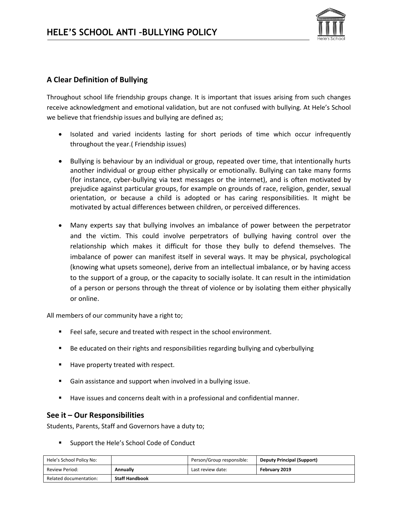

# **A Clear Definition of Bullying**

Throughout school life friendship groups change. It is important that issues arising from such changes receive acknowledgment and emotional validation, but are not confused with bullying. At Hele's School we believe that friendship issues and bullying are defined as;

- Isolated and varied incidents lasting for short periods of time which occur infrequently throughout the year.( Friendship issues)
- Bullying is behaviour by an individual or group, repeated over time, that intentionally hurts another individual or group either physically or emotionally. Bullying can take many forms (for instance, cyber-bullying via text messages or the internet), and is often motivated by prejudice against particular groups, for example on grounds of race, religion, gender, sexual orientation, or because a child is adopted or has caring responsibilities. It might be motivated by actual differences between children, or perceived differences.
- Many experts say that bullying involves an imbalance of power between the perpetrator and the victim. This could involve perpetrators of bullying having control over the relationship which makes it difficult for those they bully to defend themselves. The imbalance of power can manifest itself in several ways. It may be physical, psychological (knowing what upsets someone), derive from an intellectual imbalance, or by having access to the support of a group, or the capacity to socially isolate. It can result in the intimidation of a person or persons through the threat of violence or by isolating them either physically or online.

All members of our community have a right to;

- Feel safe, secure and treated with respect in the school environment.
- Be educated on their rights and responsibilities regarding bullying and cyberbullying
- Have property treated with respect.
- Gain assistance and support when involved in a bullying issue.
- Have issues and concerns dealt with in a professional and confidential manner.

# **See it – Our Responsibilities**

Students, Parents, Staff and Governors have a duty to;

■ Support the Hele's School Code of Conduct

| Hele's School Policy No: |                       | Person/Group responsible: | <b>Deputy Principal (Support)</b> |
|--------------------------|-----------------------|---------------------------|-----------------------------------|
| <b>Review Period:</b>    | Annually              | Last review date:         | February 2019                     |
| Related documentation:   | <b>Staff Handbook</b> |                           |                                   |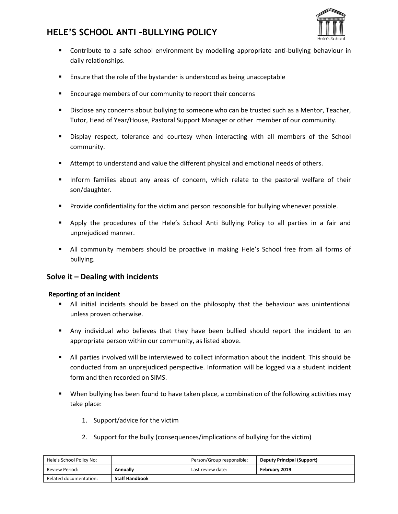

- Contribute to a safe school environment by modelling appropriate anti-bullying behaviour in daily relationships.
- Ensure that the role of the bystander is understood as being unacceptable
- Encourage members of our community to report their concerns
- **EXEDENSI** Disclose any concerns about bullying to someone who can be trusted such as a Mentor, Teacher, Tutor, Head of Year/House, Pastoral Support Manager or other member of our community.
- **EXECT** Display respect, tolerance and courtesy when interacting with all members of the School community.
- **EXECT** Attempt to understand and value the different physical and emotional needs of others.
- **.** Inform families about any areas of concern, which relate to the pastoral welfare of their son/daughter.
- Provide confidentiality for the victim and person responsible for bullying whenever possible.
- **E** Apply the procedures of the Hele's School Anti Bullying Policy to all parties in a fair and unprejudiced manner.
- **■** All community members should be proactive in making Hele's School free from all forms of bullying.

## **Solve it – Dealing with incidents**

#### **Reporting of an incident**

- **E** All initial incidents should be based on the philosophy that the behaviour was unintentional unless proven otherwise.
- Any individual who believes that they have been bullied should report the incident to an appropriate person within our community, as listed above.
- All parties involved will be interviewed to collect information about the incident. This should be conducted from an unprejudiced perspective. Information will be logged via a student incident form and then recorded on SIMS.
- When bullying has been found to have taken place, a combination of the following activities may take place:
	- 1. Support/advice for the victim
	- 2. Support for the bully (consequences/implications of bullying for the victim)

| Hele's School Policy No: |                       | Person/Group responsible: | <b>Deputy Principal (Support)</b> |
|--------------------------|-----------------------|---------------------------|-----------------------------------|
| Review Period:           | <b>Annually</b>       | Last review date:         | February 2019                     |
| Related documentation:   | <b>Staff Handbook</b> |                           |                                   |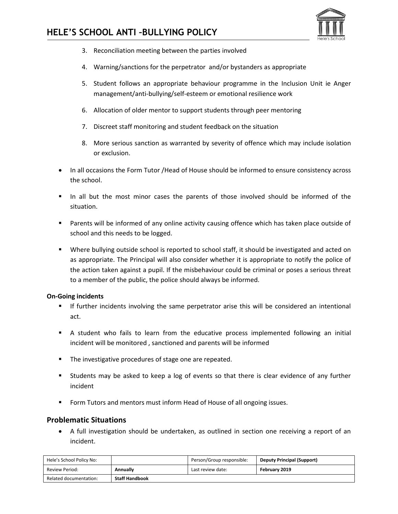

- 3. Reconciliation meeting between the parties involved
- 4. Warning/sanctions for the perpetrator and/or bystanders as appropriate
- 5. Student follows an appropriate behaviour programme in the Inclusion Unit ie Anger management/anti-bullying/self-esteem or emotional resilience work
- 6. Allocation of older mentor to support students through peer mentoring
- 7. Discreet staff monitoring and student feedback on the situation
- 8. More serious sanction as warranted by severity of offence which may include isolation or exclusion.
- In all occasions the Form Tutor /Head of House should be informed to ensure consistency across the school.
- In all but the most minor cases the parents of those involved should be informed of the situation.
- Parents will be informed of any online activity causing offence which has taken place outside of school and this needs to be logged.
- Where bullying outside school is reported to school staff, it should be investigated and acted on as appropriate. The Principal will also consider whether it is appropriate to notify the police of the action taken against a pupil. If the misbehaviour could be criminal or poses a serious threat to a member of the public, the police should always be informed.

#### **On-Going incidents**

- **■** If further incidents involving the same perpetrator arise this will be considered an intentional act.
- A student who fails to learn from the educative process implemented following an initial incident will be monitored , sanctioned and parents will be informed
- The investigative procedures of stage one are repeated.
- Students may be asked to keep a log of events so that there is clear evidence of any further incident
- Form Tutors and mentors must inform Head of House of all ongoing issues.

## **Problematic Situations**

• A full investigation should be undertaken, as outlined in section one receiving a report of an incident.

| Hele's School Policy No: |                       | Person/Group responsible: | <b>Deputy Principal (Support)</b> |
|--------------------------|-----------------------|---------------------------|-----------------------------------|
| <b>Review Period:</b>    | <b>Annually</b>       | Last review date:         | February 2019                     |
| Related documentation:   | <b>Staff Handbook</b> |                           |                                   |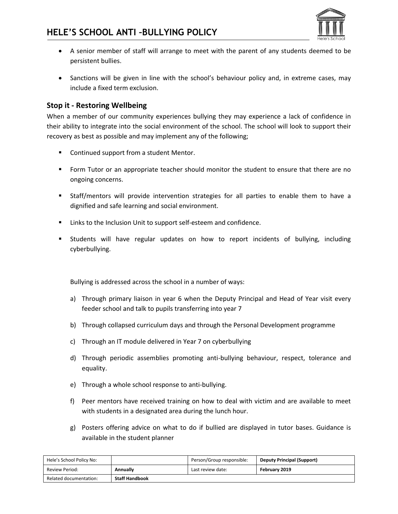

- A senior member of staff will arrange to meet with the parent of any students deemed to be persistent bullies.
- Sanctions will be given in line with the school's behaviour policy and, in extreme cases, may include a fixed term exclusion.

# **Stop it - Restoring Wellbeing**

When a member of our community experiences bullying they may experience a lack of confidence in their ability to integrate into the social environment of the school. The school will look to support their recovery as best as possible and may implement any of the following;

- Continued support from a student Mentor.
- Form Tutor or an appropriate teacher should monitor the student to ensure that there are no ongoing concerns.
- Staff/mentors will provide intervention strategies for all parties to enable them to have a dignified and safe learning and social environment.
- Links to the Inclusion Unit to support self-esteem and confidence.
- Students will have regular updates on how to report incidents of bullying, including cyberbullying.

Bullying is addressed across the school in a number of ways:

- a) Through primary liaison in year 6 when the Deputy Principal and Head of Year visit every feeder school and talk to pupils transferring into year 7
- b) Through collapsed curriculum days and through the Personal Development programme
- c) Through an IT module delivered in Year 7 on cyberbullying
- d) Through periodic assemblies promoting anti-bullying behaviour, respect, tolerance and equality.
- e) Through a whole school response to anti-bullying.
- f) Peer mentors have received training on how to deal with victim and are available to meet with students in a designated area during the lunch hour.
- g) Posters offering advice on what to do if bullied are displayed in tutor bases. Guidance is available in the student planner

| Hele's School Policy No: |                       | Person/Group responsible: | <b>Deputy Principal (Support)</b> |
|--------------------------|-----------------------|---------------------------|-----------------------------------|
| <b>Review Period:</b>    | Annually              | Last review date:         | February 2019                     |
| Related documentation:   | <b>Staff Handbook</b> |                           |                                   |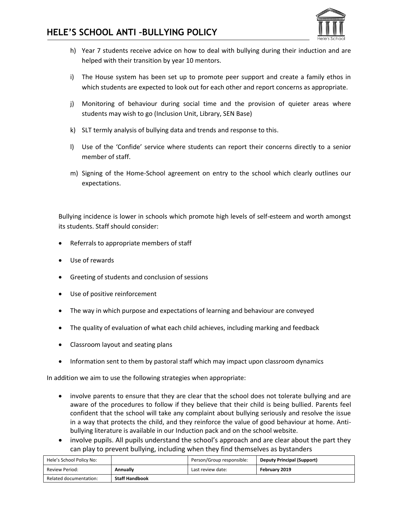

- h) Year 7 students receive advice on how to deal with bullying during their induction and are helped with their transition by year 10 mentors.
- i) The House system has been set up to promote peer support and create a family ethos in which students are expected to look out for each other and report concerns as appropriate.
- j) Monitoring of behaviour during social time and the provision of quieter areas where students may wish to go (Inclusion Unit, Library, SEN Base)
- k) SLT termly analysis of bullying data and trends and response to this.
- l) Use of the 'Confide' service where students can report their concerns directly to a senior member of staff.
- m) Signing of the Home-School agreement on entry to the school which clearly outlines our expectations.

Bullying incidence is lower in schools which promote high levels of self-esteem and worth amongst its students. Staff should consider:

- Referrals to appropriate members of staff
- Use of rewards
- Greeting of students and conclusion of sessions
- Use of positive reinforcement
- The way in which purpose and expectations of learning and behaviour are conveyed
- The quality of evaluation of what each child achieves, including marking and feedback
- Classroom layout and seating plans
- Information sent to them by pastoral staff which may impact upon classroom dynamics

In addition we aim to use the following strategies when appropriate:

- involve parents to ensure that they are clear that the school does not tolerate bullying and are aware of the procedures to follow if they believe that their child is being bullied. Parents feel confident that the school will take any complaint about bullying seriously and resolve the issue in a way that protects the child, and they reinforce the value of good behaviour at home. Antibullying literature is available in our Induction pack and on the school website.
- involve pupils. All pupils understand the school's approach and are clear about the part they can play to prevent bullying, including when they find themselves as bystanders

| Hele's School Policy No: |                       | Person/Group responsible: | <b>Deputy Principal (Support)</b> |
|--------------------------|-----------------------|---------------------------|-----------------------------------|
| Review Period:           | Annually              | Last review date:         | February 2019                     |
| Related documentation:   | <b>Staff Handbook</b> |                           |                                   |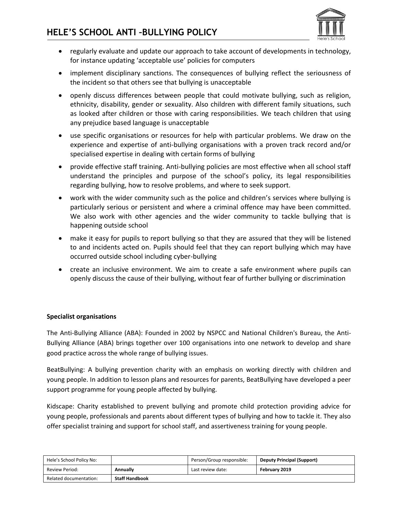

- regularly evaluate and update our approach to take account of developments in technology, for instance updating 'acceptable use' policies for computers
- implement disciplinary sanctions. The consequences of bullying reflect the seriousness of the incident so that others see that bullying is unacceptable
- openly discuss differences between people that could motivate bullying, such as religion, ethnicity, disability, gender or sexuality. Also children with different family situations, such as looked after children or those with caring responsibilities. We teach children that using any prejudice based language is unacceptable
- use specific organisations or resources for help with particular problems. We draw on the experience and expertise of anti-bullying organisations with a proven track record and/or specialised expertise in dealing with certain forms of bullying
- provide effective staff training. Anti-bullying policies are most effective when all school staff understand the principles and purpose of the school's policy, its legal responsibilities regarding bullying, how to resolve problems, and where to seek support.
- work with the wider community such as the police and children's services where bullying is particularly serious or persistent and where a criminal offence may have been committed. We also work with other agencies and the wider community to tackle bullying that is happening outside school
- make it easy for pupils to report bullying so that they are assured that they will be listened to and incidents acted on. Pupils should feel that they can report bullying which may have occurred outside school including cyber-bullying
- create an inclusive environment. We aim to create a safe environment where pupils can openly discuss the cause of their bullying, without fear of further bullying or discrimination

## **Specialist organisations**

The Anti-Bullying Alliance (ABA): Founded in 2002 by NSPCC and National Children's Bureau, the Anti-Bullying Alliance (ABA) brings together over 100 organisations into one network to develop and share good practice across the whole range of bullying issues.

BeatBullying: A bullying prevention charity with an emphasis on working directly with children and young people. In addition to lesson plans and resources for parents, BeatBullying have developed a peer support programme for young people affected by bullying.

Kidscape: Charity established to prevent bullying and promote child protection providing advice for young people, professionals and parents about different types of bullying and how to tackle it. They also offer specialist training and support for school staff, and assertiveness training for young people.

| Hele's School Policy No: |                       | Person/Group responsible: | <b>Deputy Principal (Support)</b> |
|--------------------------|-----------------------|---------------------------|-----------------------------------|
| <b>Review Period:</b>    | Annually              | Last review date:         | February 2019                     |
| Related documentation:   | <b>Staff Handbook</b> |                           |                                   |